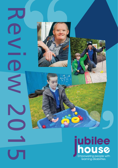

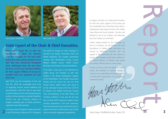

Steve Stokes CHAIRMAN Alan Clarke CEO

### Joint report of the Chair & Chief Executive.

**JOINT TEP**<br>
Steve and I wo<br>
opportunity to<br>
staff and managenthusiasm and ex<br>
that they have<br>
these challenging<br>
all of our service<br>
for their support<br>
wouldn't have of<br>
great care.<br>
April 2014 saw the<br>
Care Act, which ha **Steve and I would like to take this opportunity to thank our fantastic staff and managers for the hard work, enthusiasm and excellent standard of care that they have maintained throughout these challenging times. We also thank all of our service users and their families, for their support. Without all of you we wouldn't have our reputation for such great care.**

April 2014 saw the introduction of the new Care Act, which has encouraged more focus on organising services around wellbeing and personalisation, whilst the scale of many years of under funding of social care has become more evident to those working in Learning Disabilities. 2014/15 has seen continuous pressure on budgets, escalating costs of utilities, provisions, registration and staff overheads.

It was also a year of change for Jubilee House with 2 a new CEO joining in February 2015. Throughout

this period of change we have continued to maintain Care Quality Commission (CQC) and Ofsted compliance. Our strategic partnerships continue with Hertfordshire County Council, Welwyn Hatfield Council, Enfield Council, MacIntyre and Sanctuary Housing Associations.

It has been a busy year in the community for Jubilee House, two members of staff were finalists in the People Development category at the Hertfordshire Care Providers Association Awards and one service user won the Smile Learner Award. Jubilee House were proud to be the nominated Charity of the Year 2014/15 for Welwyn and Hatfield Community Housing Trust and beneficiary of the Ware Rotary Club Christmas collection. It was also the first year that our Work Skills Programme students found voluntary placements in the local community. There have also been many, varied events that our projects have been involved with as part of their active community engagement programmes.

As always, we thank our trustee board members for their very active support of the charity and the considerable time commitment they make in attending the wide range of events in the Jubilee House Board and Social calendar. We also said farewell to one of our trustees, and welcomed two new trustees, Jon and Marie.

Paramaty and<br>they make in<br>the Jubilee<br>We also said<br>d welcomed<br>allenges we<br>on the solid<br>d grow our<br>exame and<br>continue to<br>enabling us<br>high quality<br>ce users.<br>y to respond<br>t change is<br>elopment as<br>elopment as<br>elopment as<br>elopme Finally, looking forward to the challenges we face as a business, we will build on the solid foundations of Jubilee House and grow our services by delivering innovative care and support in the community. We will continue to engage new strategic partnerships enabling us to continue delivery of effective, high quality care, always offering choice to service users.

As ever, our track record and ability to respond quickly and positively to constant change is crucial to our sustainability and development as a not-for-profit organisation in an increasingly commercial market.

Steve Stokes CHAIRMAN & Alan Clarke CEO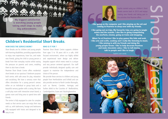# The Property of the Automobile<br>
Sam – Project Manager<br>
Sam – Project Manager<br>
Sam – Project Manager

 **My biggest satisfaction is watching young people taking small steps to make big achievements.**

i

# Children's Residential Short Breaks**.** The Child<br>
How Does<br>
Short Brea

### **HOW DOES THE SERVICE WORK?**

Short Breaks are for children and young people with learning disabilities; providing opportunities to enjoy new experiences, have fun, and make new friends, giving the child or young person a break from their everyday routine whilst easing the pressure on parents and carers, enabling them to also have a break.

Peartree Short Break Centre offers residential short breaks at our spacious 5 bedroom purpose built centre, with safe areas for play, relaxation and socialising. We have a sensory room that offers stimulation for a young person's senses either on an individual or group basis and a beautiful sensory garden with a swing. We have a soft play room with interactive smart board, a games room and living area to spend time with friends.

The centre is fully equipped to cater for complex needs so that service users can enjoy their stay with us, with bathrooms, lounge and bedrooms fully equipped with hoists and designed to be  $4$  easy to use.

### **WHO IS IT FOR ?**

Peartree Short Break Centre supports children from ages 5 to 18 years old in a safe, child focused environment, where our highly skilled and experienced team design and deliver bespoke support which meets need in a unique and very person centered approach. Our staff provide individually designed quality care and support to maximise the independence and choice of the person.

We provide these services to children and young people from Hertfordshire and Enfield and can also provide services to North London Boroughs, such as Barnet, Camden, Haringay and further afield to the Counties of Bedfordshire, Cambridgeshire, Essex and Buckinghamshire.





Sophie started using our children's Short Breaks service back in 2013 and enjoys making new friends and taking part in

I like going on the computer and I like playing on the wii and coming to Peartree to sleep over with my friends.

I like going out on trips. My favourite trips are going to jungle mania and the seaside. I also like to going trampolining, the zoo/farm, cinema, going on trains and shopping.

making new friends and taking<br>the activities that Peartree offers.<br>I like going on the computer and I like playing on the w<br>coming to Peartree to sleep over with my friends.<br>I like going out on trips. My favourite trips ar When I'm at Peartree I like to play games like hide and seek. I like arts and crafts, cooking and I really like listening to music. I like joining in with my friends and doing the young people forum. I like to help decorate Peartree and make chocolate cakes. I like to tell stories, talk to people and I like to laugh.

Sophie's own words.

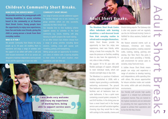### Children's Community Short Breaks.

### HOW DOES THE SERVICE WORK?

**We provide services for young people with learning disabilities to access activities based in the community or at Peartree Short Break Centre. Young people have the opportunity to enjoy new experiences, have fun and make new friends, giving the child or young person a break from their everyday routine.**

### WHO IS IT FOR ?

We provide Community Short Breaks for young people up to 18 years old enabling them to experience and enjoy a range of activities with the support of our skilled staff within a safe and child focused environment. All of our services are designed to maximise independence and to provide choice and the opportunity to learn new skills.

### **COMMUNITY SHORT BREAKS**

Our range of services provide additional support for families through one to one sessions, and group activities which are very successful, especially the After School Club.

supports access to activities in the local community e.g. scouts, bowling, soft play, falconry or specific projects like travel training. At our After School Club children choose from a range of group activities including dance sessions, cooking, crazy golf, quasar, junk modelling, pottery, and trampolining. Sibling groups give an opportunity for brothers and sisters of children with a learning disability to meet others in the same situation, share experiences and take time out.



### Adult Short Breaks.

**The Meadows Short Break Centre offers individuals with learning disabilities a well-deserved break from their everyday routine to refresh and re-energize themselves.** Adults Short Breaks provide the opportunity to have fun, enjoy new experiences, meet new friends, while taking a break from everyday life. This eases the pressure on families, enabling them to also have the opportunity to rest, relax or take a holiday.

We support 18 to 65 year olds with flexible packages of support, designed to meet individual needs, which can include overnight stays or day visits.

The Meadows is a spacious 4 bedroom building refurbished in 2008, with a modern layout providing a comfortable, welcoming environment. The ground floor bedrooms are equipped with hoist facilities and all bedrooms have ensuite bathrooms. It has a quiet room containing a sound system, computer, TV and DVD facilities. In the dining area we have a smart board and in the lounge service users and staff socialise together, choosing trips they would like to take, with outings to the seaside, cinema and

theatre being popular. The Gateway club is also very popular and we regularly use the Jim McDonald Activity Centre in Hatfield for disco sessions, football and its Café.

We feature seasonal events such as Halloween, Christmas and Easter, decorating pumpkins, creating seasonal crafts, cooking, baking, painting and sewing. Our New Year's Day party is an annual event providing a friendly, safe environment for service users to socialise, enjoy food and music.

A Jubilee House Short Break means people can enjoy and experience a range of activities to develop learning and independence, while spending time with others. We ensure opportunities for leisure activities inside and outside the centre, within safe and stimulating environments.

Our friendly staff provide high quality support in a relaxed but professional competent manner. They are trained to the highest standards and are dedicated to providing the best opportunities for people to achieve their aspirations and to live the life they choose.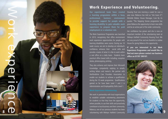### Work Experience and Volunteering.

**Our experienced team have created a learning programme within a busy, professional, business environment to provide support for people with a learning disability to gain valuable work experience to prepare them for paid employment or a volunteer role.** 

The Work Experience Programme was launched in 2013, recognising that office environment work experience opportunities for people with learning disabilities were scarce. During our 10 week course, we aim to develop an individual's confidence, enhance their social skills and provide a taster of what it is like to work within a real office on a daily basis. Students learn practical office based skills including; reception duties, photocopying, printing.

They also enhance and improve their Microsoft knowledge, competently replying to emails, writing letters and memo's. We partner with Hertfordshire Care Providers Association to enable our students to achieve a qualification during the 10 week programme. Qualifications gained so far have been Level 1 and 2 in Administration and Employability Skills Level 1.

Work experience

io<br>O

2

8

We work in partnership with local organisations to establish suitable volunteering placements for students so that they have the opportunity, where possible, to use their skills and proactively contribute to local business and their community. Rebecca, one of our previous students has been volunteering with Welwyn Hatfield Community

Housing Trust one morning a week for over a year now. Rebecca has told us ''she loves it''! Michelle Maher, House Manager, Care By Us quotes: ''The Stepping Stones programme has given Rebecca the opportunity to learn new skills and be an active part of the wider community.

Her confidence has grown and she is now an important member of the volunteering team at Welwyn Hatfield Community Housing Trust. We are very proud of her and are thankful to Jubilee House for giving Rebecca this opportunity.

**If you are interested in our Work Experience Programme and would like to find out more please contact our business office on 01707 390107.** 

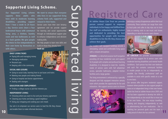### Supported Living Scheme.

**Our Supported Living scheme supports three adults who have mild to moderate learning disabilities, providing support from 1 hour a week to 24 hours a day. Service users share a four bedroomed house with communal living area, a kitchen, laundry room and two bathrooms as well as a back garden. We give people the choice to live independently in their own home by themselves or with others.** 

### **DAILY LIVING TASKS**

- Paying bills and managing money
- Managing medication
- Personal care
- Keeping safe in the community

### **SOCIAL AND LEISURE:**

- Going to social clubs, learning how to use buses and trains
- Meeting new people and making friends
- Going to hospital and doctor appointments
- Dealing with strangers

### **EDUCATION AND EMPLOYMENT:**

• Finding a college course or job that interests you

### **INDEPENDENT LIVING:**

- Choosing where you want to live and your tenancy agreement
- Cleaning your home and being a good neighbour
- Doing your shopping and cooking your own meals

Our aim is to empower our service users to lead the life they choose and enable them to make informed decisions.

**We want to ensure that everyone who lives in our supported living scheme feels safe, supported and relaxed in their home.**

Service users have their own tenancy agreement and we provide support for learning and social opportunities through an individualised support plan to enhance independence and decision making skills.

We help people to learn new skills and build on those they already have.

Supported living

Such as:

Registered Care

**At Jubilee House Care Trust we provide person centred support to empower individuals to live happy and fulfilled lives. Our staff are enthusiastic, highly trained and dedicated to providing the best opportunities for people with learning disabilities to live the life they choose and achieve their goals.**

Our modern well equipped buildings provide a stimulating, varied and comfortable living space with a relaxed atmosphere.

**JONQUIL** is a detached purpose built bungalow providing 24 hour residential care and support for 6 people with complex and profound learning disabilities. It is designed to meet the mobility needs of service users with full wheelchair access, specialist bathrooms, adapted kitchen facilities and a large garden.

The living environment is enhanced by a specially designed and fully equipped interactive sensory room which provides the opportunity for fun and relaxation. We support service users to choose



and enjoy a variety of experiences within their local community. These activities can range from visits to local pubs and cafes to day trips out to local zoos or evening visits to see music and shows depending on what the service users choose.



AT LINCOLN we provide accommodation and 24 hour support for 6 service users with moderate learning disabilities and mental health conditions. Each person has their own bedroom and each flat contains communal facilities to enable people to live as independently as possible. Our friendly, professional staff are available to assist with specific needs on a one to one basis.

Our services offer long-term residential support; however where possible we also support people to move on to independent living in their own homes. Jackie has lived at Jubilee House since 2005 and she has been supported to develop her skills to live independently as she would like to move out to her own home. She now enjoys travelling, cooking and shopping independently as well as administering her own medication. She is reaching her personal goals and the team is really proud of what she has achieved.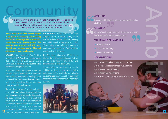## CommunitySome tense moments there and back.<br>
Some tense moments there and back.<br>
Of smiles at and memories of the<br>
I, a result beyond our expectations.<br>
Chris Hill, Tour de Lard II

**A mixture of fun and some tense moments there and back. We created a lot of smiles at and memories of the vehicles. Most of all, a result beyond our expectations. The good it can do, is our best reward.**

**CA**<br> **CA**<br> **CA**<br> **CA**<br> **CA**<br> **CA**<br> **CA**<br> **CA**<br> **CA**<br> **CA**<br> **CA**<br> **CA**<br> **CA**<br> **CA**<br> **CA**<br> **CA**<br> **CA**<br> **CA**<br> **CA**<br> **CA**<br> **CA**<br> **CA**<br> **CA**<br> **CA**<br> **CA**<br> **CA Jubilee House Care Trust enables people to be a part of community life, providing services that encourage their involvement, supporting them to be independent. This position was strengthened this year through our continued partnerships and attendance at many local events.**

**AWARDS** At the Hertfordshire Care Providers Association (HCPA) Awards our work experience student Tom won the Smile Learner Award, where we also celebrated having two finalists in the Peoples Development category.

In June we hosted 'The Rumble Awards' as part of a series of events organised by Pioneer Approaches in partnership with and fully funded by Hertfordshire County Council to celebrate our service users, recognising them for their own talents, personalities and characters.

12 award and Kathy won the 'Brave Heart' award. The main Rumble Award Ceremony took place in July which was a fantastic evening bringing each organisation involved together to celebrate the overall winners. One of our residential service users Tom won the overall Champion of Champions Ultimate Rumble Award for being a 'Ray of Sunshine' for his positive outlook and fabulous smile, Colin won the 'Makes Me Smile'

**FUNDRAISING** During 2014/15 we were delighted to be the chosen Charity of the Year for Welwyn Hatfield Community Housing Trust, which raised a very generous £2,800. We appreciate all their effort and continue to work with them through our Work Experience volunteer placement scheme.

The Ware Rotary Club raised £1,200 for us through their Christmas Collection and we took part in the Welwyn Hatfield Rotary Club sponsored walk in April raising £402.

In June the Tour de Lard II team took on the ambitious challenge to drive to the highest paved point in the French Alps in 3-wheeled vehicles to raise money for Jubilee House. They had a fantastic experience and raised an amazing £25,000.



### **AMBITION**

66<br>66<br> ed lives for earning<br>d their<br>Sandara Happy and fulfilled lives for children and adults with learning disabilities.

### **66**<br>" **STRATEGY**

By understanding the needs of individuals and their families,we provide quality support and care.

### **VALUES AND BEHAVIOURS**

- Open and honest
- Supportive and caring
- Continually improving

### **STRATEGIC AIMS**

Aim 1: Deliver the Highest Quality Support and Care Aim 2: People Management and Staff Development Aim 3: Maintain Financial Stability Aim 4: Improve Business Efficiency Aim 5: Deliver open, effective, accountable Governance AMBITION

13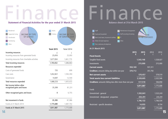# Finance **Statement of Financial Activities for the year ended 31 March 2015**



| Incoming resources                                     | f         | f         |
|--------------------------------------------------------|-----------|-----------|
| Incoming resources from generated funds                | 25,818    | 25,093    |
| Incoming resources from charitable activities          | 1,677,834 | 1,661,770 |
| Total incoming resources                               | 1,703,652 | 1,686,863 |
| Resources expended                                     |           |           |
| Costs of generated funds                               | 735       | 699       |
| Care costs                                             | 1,652,821 | 1,592,393 |
| Governance                                             | 14,697    | 12,540    |
| Total resources expended                               | 1,668,253 | 1,605,632 |
| Net income before other<br>recognised gains and losses | 35,399    | 81,231    |
| Other recognised gains and losses                      | 0         | 6,755     |
| Net movement in funds                                  | 35,399    | 87,986    |
| Funds at 31 March 2014                                 | 1,775,688 | 1,687,702 |
| Funds at 31 March 2015                                 | 1,811,087 | 1,775,688 |
|                                                        |           |           |

### Finance **Balance sheet at 31st March 2015**



2015 2015 2014 2014

### **At 31 March 2015**

|                                                         | <u>av r</u> | <b>AVID</b> | 201     | $-0 -$    |
|---------------------------------------------------------|-------------|-------------|---------|-----------|
| <b>Fixed Assets</b>                                     |             |             |         |           |
| Tangible fixed assets                                   |             | 1,543,148   |         | 1,528,027 |
| Investments                                             |             | 215,000     |         | 215,000   |
| <b>Current assets</b>                                   | 950,169     |             | 937,311 |           |
| <b>Creditors:</b> amounts falling due within one year   | 379,712     |             | 357,792 |           |
| <b>Net current assets</b>                               |             | 570,457     |         | 579,519   |
| <b>Total assets less current liabilities</b>            |             | 2,328,605   |         | 2,322,546 |
| Creditors: amounts falling due after more than one year |             | 517,518     |         | 546,858   |
|                                                         |             | 1,811,087   |         | 1,775,688 |
| <b>Funds</b>                                            |             |             |         |           |
| Unrestricted - general                                  |             | 1,592,841   |         | 1,523,243 |
| Unrestricted - designated - properties                  |             | 203,291     |         | 243,291   |
|                                                         |             | 1,796,132   |         | 1,766,534 |
| Restricted - specific donations                         |             | 14,955      |         | 9,154     |
|                                                         |             | 1,811,087   |         | 1,775,688 |